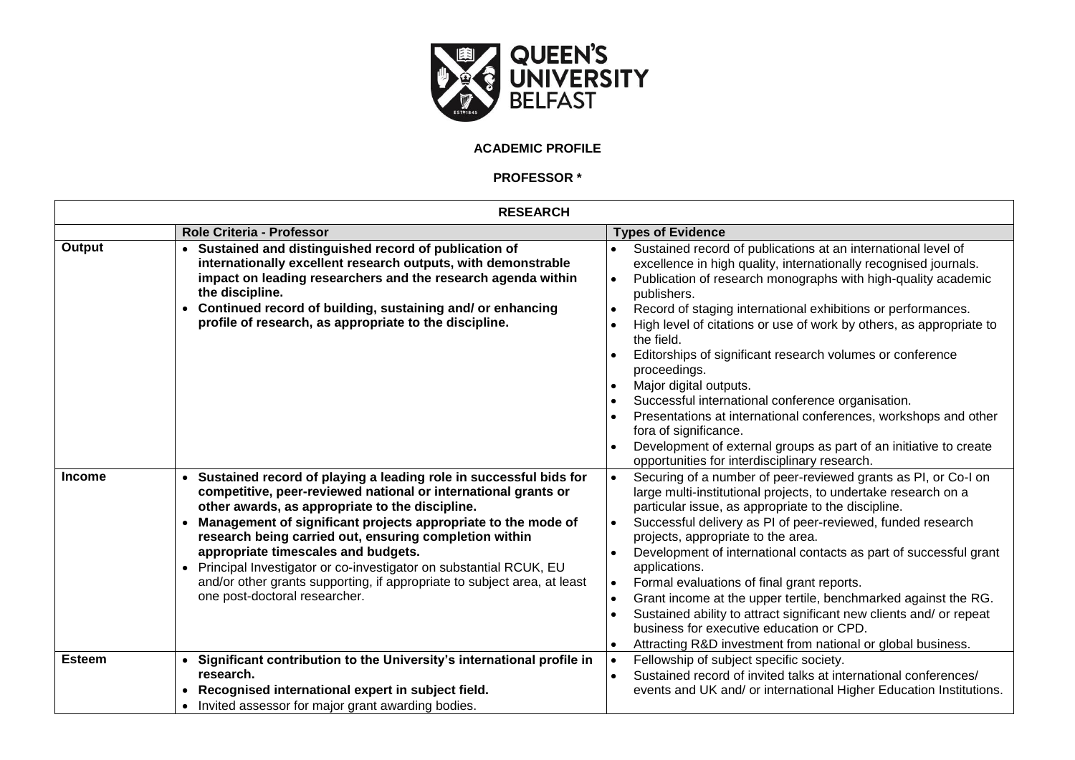

## **ACADEMIC PROFILE**

**PROFESSOR \***

| <b>RESEARCH</b> |                                                                                                                                                                                                                                                                                                                                                                                                                                                                                                                                                         |                                                                                                                                                                                                                                                                                                                                                                                                                                                                                                                                                                                                                                                                                                                                                                   |
|-----------------|---------------------------------------------------------------------------------------------------------------------------------------------------------------------------------------------------------------------------------------------------------------------------------------------------------------------------------------------------------------------------------------------------------------------------------------------------------------------------------------------------------------------------------------------------------|-------------------------------------------------------------------------------------------------------------------------------------------------------------------------------------------------------------------------------------------------------------------------------------------------------------------------------------------------------------------------------------------------------------------------------------------------------------------------------------------------------------------------------------------------------------------------------------------------------------------------------------------------------------------------------------------------------------------------------------------------------------------|
|                 | <b>Role Criteria - Professor</b>                                                                                                                                                                                                                                                                                                                                                                                                                                                                                                                        | <b>Types of Evidence</b>                                                                                                                                                                                                                                                                                                                                                                                                                                                                                                                                                                                                                                                                                                                                          |
| Output          | Sustained and distinguished record of publication of<br>internationally excellent research outputs, with demonstrable<br>impact on leading researchers and the research agenda within<br>the discipline.<br>Continued record of building, sustaining and/ or enhancing<br>$\bullet$<br>profile of research, as appropriate to the discipline.                                                                                                                                                                                                           | Sustained record of publications at an international level of<br>excellence in high quality, internationally recognised journals.<br>Publication of research monographs with high-quality academic<br>$\bullet$<br>publishers.<br>Record of staging international exhibitions or performances.<br>High level of citations or use of work by others, as appropriate to<br>the field.<br>Editorships of significant research volumes or conference<br>proceedings.<br>Major digital outputs.<br>Successful international conference organisation.<br>Presentations at international conferences, workshops and other<br>fora of significance.<br>Development of external groups as part of an initiative to create<br>opportunities for interdisciplinary research. |
| <b>Income</b>   | Sustained record of playing a leading role in successful bids for<br>competitive, peer-reviewed national or international grants or<br>other awards, as appropriate to the discipline.<br>Management of significant projects appropriate to the mode of<br>research being carried out, ensuring completion within<br>appropriate timescales and budgets.<br>Principal Investigator or co-investigator on substantial RCUK, EU<br>$\bullet$<br>and/or other grants supporting, if appropriate to subject area, at least<br>one post-doctoral researcher. | Securing of a number of peer-reviewed grants as PI, or Co-I on<br>$\bullet$<br>large multi-institutional projects, to undertake research on a<br>particular issue, as appropriate to the discipline.<br>Successful delivery as PI of peer-reviewed, funded research<br>projects, appropriate to the area.<br>Development of international contacts as part of successful grant<br>applications.<br>Formal evaluations of final grant reports.<br>$\bullet$<br>Grant income at the upper tertile, benchmarked against the RG.<br>$\bullet$<br>Sustained ability to attract significant new clients and/ or repeat<br>business for executive education or CPD.<br>Attracting R&D investment from national or global business.                                       |
| <b>Esteem</b>   | Significant contribution to the University's international profile in<br>research.<br>Recognised international expert in subject field.<br>• Invited assessor for major grant awarding bodies.                                                                                                                                                                                                                                                                                                                                                          | Fellowship of subject specific society.<br>$\bullet$<br>Sustained record of invited talks at international conferences/<br>$\bullet$<br>events and UK and/ or international Higher Education Institutions.                                                                                                                                                                                                                                                                                                                                                                                                                                                                                                                                                        |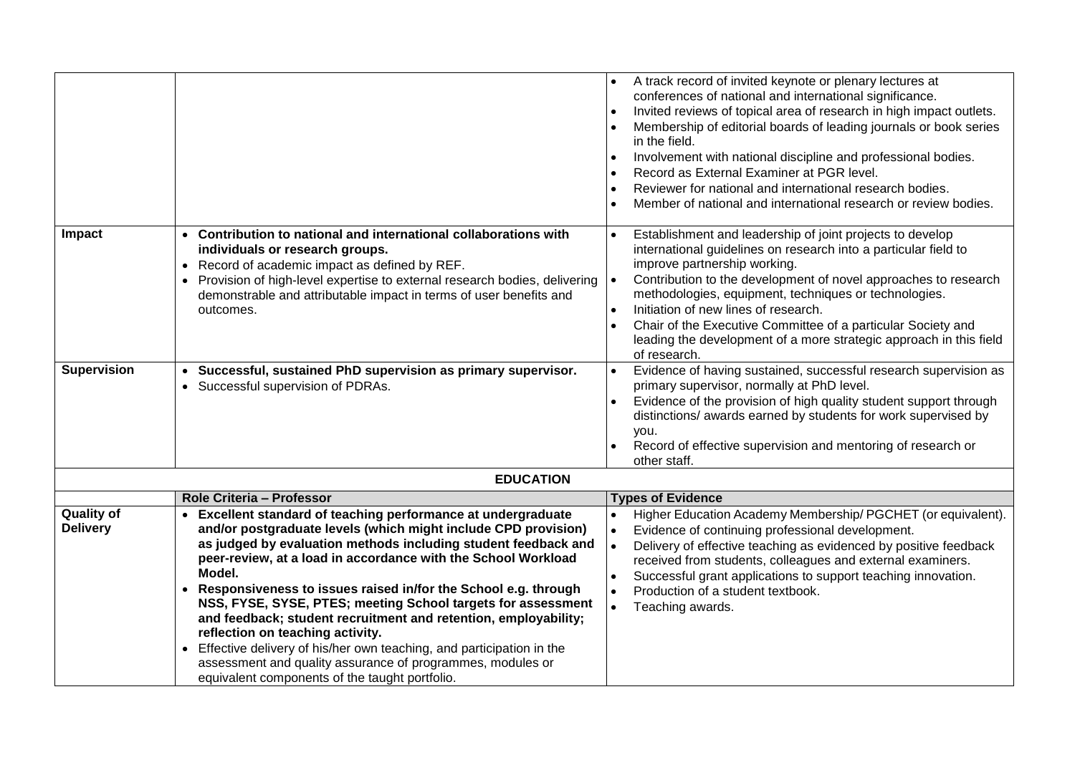|                                      |                                                                                                                                                                                                                                                                                                                                                                                                                                                                                                                                                                                                                                                               | A track record of invited keynote or plenary lectures at<br>conferences of national and international significance.<br>Invited reviews of topical area of research in high impact outlets.<br>Membership of editorial boards of leading journals or book series<br>in the field.                                                                                                                                                                                                       |
|--------------------------------------|---------------------------------------------------------------------------------------------------------------------------------------------------------------------------------------------------------------------------------------------------------------------------------------------------------------------------------------------------------------------------------------------------------------------------------------------------------------------------------------------------------------------------------------------------------------------------------------------------------------------------------------------------------------|----------------------------------------------------------------------------------------------------------------------------------------------------------------------------------------------------------------------------------------------------------------------------------------------------------------------------------------------------------------------------------------------------------------------------------------------------------------------------------------|
|                                      |                                                                                                                                                                                                                                                                                                                                                                                                                                                                                                                                                                                                                                                               | Involvement with national discipline and professional bodies.<br>Record as External Examiner at PGR level.                                                                                                                                                                                                                                                                                                                                                                             |
|                                      |                                                                                                                                                                                                                                                                                                                                                                                                                                                                                                                                                                                                                                                               | Reviewer for national and international research bodies.<br>$\bullet$<br>Member of national and international research or review bodies.                                                                                                                                                                                                                                                                                                                                               |
| Impact                               | • Contribution to national and international collaborations with<br>individuals or research groups.<br>• Record of academic impact as defined by REF.<br>• Provision of high-level expertise to external research bodies, delivering<br>demonstrable and attributable impact in terms of user benefits and<br>outcomes.                                                                                                                                                                                                                                                                                                                                       | Establishment and leadership of joint projects to develop<br>international guidelines on research into a particular field to<br>improve partnership working.<br>Contribution to the development of novel approaches to research<br>methodologies, equipment, techniques or technologies.<br>Initiation of new lines of research.<br>Chair of the Executive Committee of a particular Society and<br>leading the development of a more strategic approach in this field<br>of research. |
| <b>Supervision</b>                   | Successful, sustained PhD supervision as primary supervisor.<br>$\bullet$<br>• Successful supervision of PDRAs.                                                                                                                                                                                                                                                                                                                                                                                                                                                                                                                                               | Evidence of having sustained, successful research supervision as<br>primary supervisor, normally at PhD level.<br>Evidence of the provision of high quality student support through<br>distinctions/ awards earned by students for work supervised by<br>you.<br>Record of effective supervision and mentoring of research or<br>other staff.                                                                                                                                          |
|                                      | <b>EDUCATION</b>                                                                                                                                                                                                                                                                                                                                                                                                                                                                                                                                                                                                                                              |                                                                                                                                                                                                                                                                                                                                                                                                                                                                                        |
|                                      | Role Criteria - Professor                                                                                                                                                                                                                                                                                                                                                                                                                                                                                                                                                                                                                                     | <b>Types of Evidence</b>                                                                                                                                                                                                                                                                                                                                                                                                                                                               |
| <b>Quality of</b><br><b>Delivery</b> | Excellent standard of teaching performance at undergraduate<br>and/or postgraduate levels (which might include CPD provision)<br>as judged by evaluation methods including student feedback and<br>peer-review, at a load in accordance with the School Workload<br>Model.<br>• Responsiveness to issues raised in/for the School e.g. through<br>NSS, FYSE, SYSE, PTES; meeting School targets for assessment<br>and feedback; student recruitment and retention, employability;<br>reflection on teaching activity.<br>• Effective delivery of his/her own teaching, and participation in the<br>assessment and quality assurance of programmes, modules or | Higher Education Academy Membership/ PGCHET (or equivalent).<br>Evidence of continuing professional development.<br>$\bullet$<br>Delivery of effective teaching as evidenced by positive feedback<br>received from students, colleagues and external examiners.<br>Successful grant applications to support teaching innovation.<br>Production of a student textbook.<br>$\bullet$<br>$\bullet$<br>Teaching awards.                                                                    |
|                                      | equivalent components of the taught portfolio.                                                                                                                                                                                                                                                                                                                                                                                                                                                                                                                                                                                                                |                                                                                                                                                                                                                                                                                                                                                                                                                                                                                        |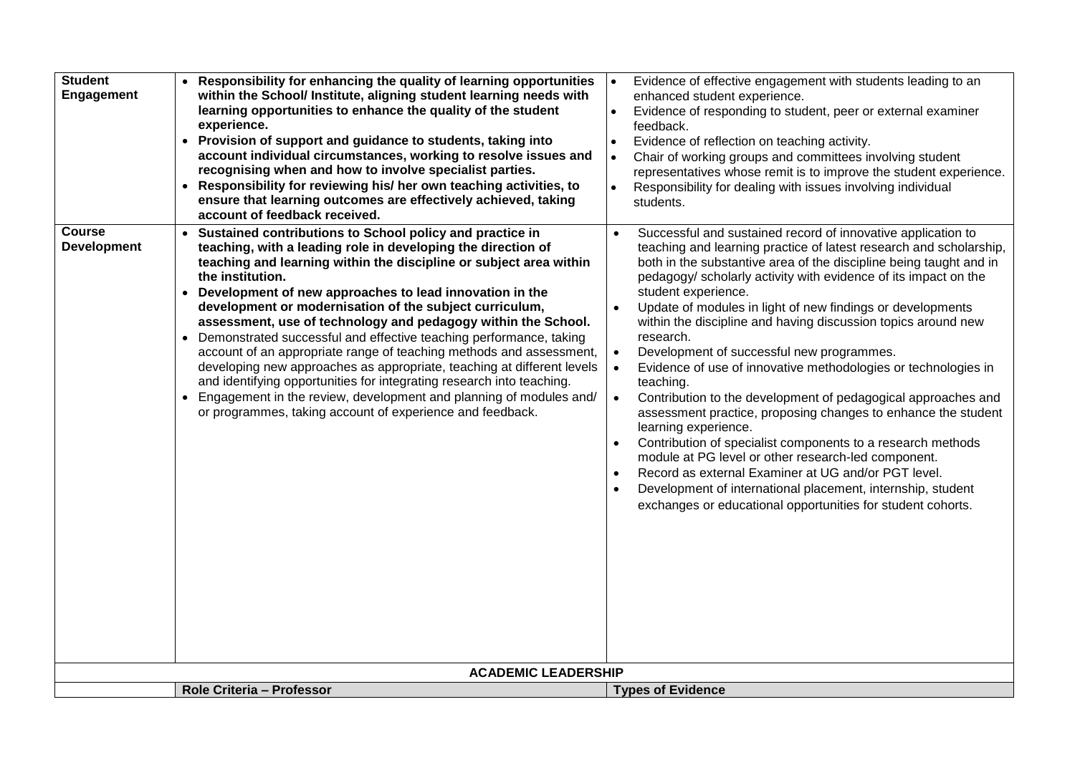| Student<br><b>Engagement</b>        | • Responsibility for enhancing the quality of learning opportunities<br>within the School/ Institute, aligning student learning needs with<br>learning opportunities to enhance the quality of the student<br>experience.<br>• Provision of support and guidance to students, taking into<br>account individual circumstances, working to resolve issues and<br>recognising when and how to involve specialist parties.<br>• Responsibility for reviewing his/ her own teaching activities, to<br>ensure that learning outcomes are effectively achieved, taking<br>account of feedback received.                                                                                                                                                                                                                                                                                  | Evidence of effective engagement with students leading to an<br>enhanced student experience.<br>Evidence of responding to student, peer or external examiner<br>feedback.<br>Evidence of reflection on teaching activity.<br>Chair of working groups and committees involving student<br>$\bullet$<br>representatives whose remit is to improve the student experience.<br>Responsibility for dealing with issues involving individual<br>students.                                                                                                                                                                                                                                                                                                                                                                                                                                                                                                                                                                                                                                                                                        |
|-------------------------------------|------------------------------------------------------------------------------------------------------------------------------------------------------------------------------------------------------------------------------------------------------------------------------------------------------------------------------------------------------------------------------------------------------------------------------------------------------------------------------------------------------------------------------------------------------------------------------------------------------------------------------------------------------------------------------------------------------------------------------------------------------------------------------------------------------------------------------------------------------------------------------------|--------------------------------------------------------------------------------------------------------------------------------------------------------------------------------------------------------------------------------------------------------------------------------------------------------------------------------------------------------------------------------------------------------------------------------------------------------------------------------------------------------------------------------------------------------------------------------------------------------------------------------------------------------------------------------------------------------------------------------------------------------------------------------------------------------------------------------------------------------------------------------------------------------------------------------------------------------------------------------------------------------------------------------------------------------------------------------------------------------------------------------------------|
| <b>Course</b><br><b>Development</b> | • Sustained contributions to School policy and practice in<br>teaching, with a leading role in developing the direction of<br>teaching and learning within the discipline or subject area within<br>the institution.<br>• Development of new approaches to lead innovation in the<br>development or modernisation of the subject curriculum,<br>assessment, use of technology and pedagogy within the School.<br>• Demonstrated successful and effective teaching performance, taking<br>account of an appropriate range of teaching methods and assessment,<br>developing new approaches as appropriate, teaching at different levels<br>and identifying opportunities for integrating research into teaching.<br>• Engagement in the review, development and planning of modules and/<br>or programmes, taking account of experience and feedback.<br><b>ACADEMIC LEADERSHIP</b> | Successful and sustained record of innovative application to<br>$\bullet$<br>teaching and learning practice of latest research and scholarship,<br>both in the substantive area of the discipline being taught and in<br>pedagogy/ scholarly activity with evidence of its impact on the<br>student experience.<br>Update of modules in light of new findings or developments<br>within the discipline and having discussion topics around new<br>research.<br>Development of successful new programmes.<br>$\bullet$<br>Evidence of use of innovative methodologies or technologies in<br>$\bullet$<br>teaching.<br>Contribution to the development of pedagogical approaches and<br>$\bullet$<br>assessment practice, proposing changes to enhance the student<br>learning experience.<br>Contribution of specialist components to a research methods<br>$\bullet$<br>module at PG level or other research-led component.<br>Record as external Examiner at UG and/or PGT level.<br>$\bullet$<br>Development of international placement, internship, student<br>$\bullet$<br>exchanges or educational opportunities for student cohorts. |
|                                     | Role Criteria - Professor                                                                                                                                                                                                                                                                                                                                                                                                                                                                                                                                                                                                                                                                                                                                                                                                                                                          |                                                                                                                                                                                                                                                                                                                                                                                                                                                                                                                                                                                                                                                                                                                                                                                                                                                                                                                                                                                                                                                                                                                                            |
|                                     |                                                                                                                                                                                                                                                                                                                                                                                                                                                                                                                                                                                                                                                                                                                                                                                                                                                                                    | <b>Types of Evidence</b>                                                                                                                                                                                                                                                                                                                                                                                                                                                                                                                                                                                                                                                                                                                                                                                                                                                                                                                                                                                                                                                                                                                   |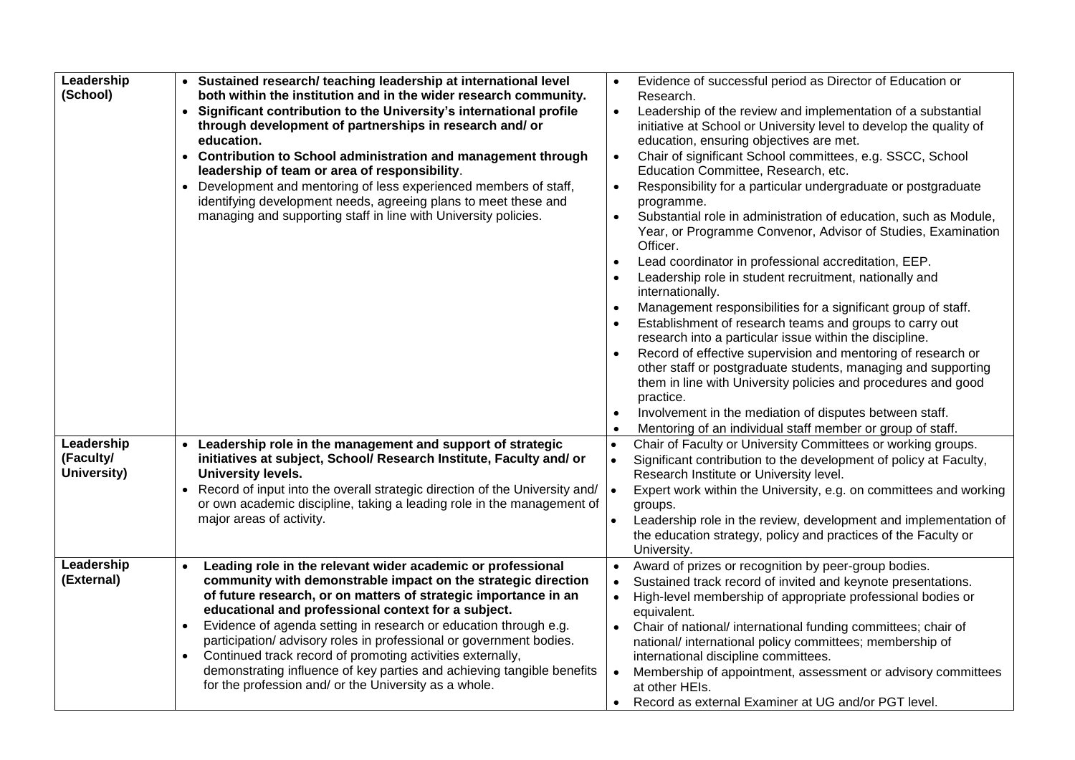| Leadership<br>(School)                 | • Sustained research/ teaching leadership at international level<br>both within the institution and in the wider research community.<br>Significant contribution to the University's international profile<br>$\bullet$<br>through development of partnerships in research and/ or<br>education.<br>Contribution to School administration and management through<br>leadership of team or area of responsibility.<br>Development and mentoring of less experienced members of staff,<br>$\bullet$<br>identifying development needs, agreeing plans to meet these and<br>managing and supporting staff in line with University policies.  | Evidence of successful period as Director of Education or<br>Research.<br>Leadership of the review and implementation of a substantial<br>$\bullet$<br>initiative at School or University level to develop the quality of<br>education, ensuring objectives are met.<br>Chair of significant School committees, e.g. SSCC, School<br>Education Committee, Research, etc.<br>Responsibility for a particular undergraduate or postgraduate<br>$\bullet$<br>programme.<br>Substantial role in administration of education, such as Module,<br>$\bullet$<br>Year, or Programme Convenor, Advisor of Studies, Examination<br>Officer.<br>Lead coordinator in professional accreditation, EEP.<br>$\bullet$<br>Leadership role in student recruitment, nationally and<br>internationally.<br>Management responsibilities for a significant group of staff.<br>$\bullet$<br>Establishment of research teams and groups to carry out<br>research into a particular issue within the discipline.<br>Record of effective supervision and mentoring of research or<br>other staff or postgraduate students, managing and supporting<br>them in line with University policies and procedures and good<br>practice.<br>Involvement in the mediation of disputes between staff.<br>$\bullet$<br>Mentoring of an individual staff member or group of staff. |
|----------------------------------------|------------------------------------------------------------------------------------------------------------------------------------------------------------------------------------------------------------------------------------------------------------------------------------------------------------------------------------------------------------------------------------------------------------------------------------------------------------------------------------------------------------------------------------------------------------------------------------------------------------------------------------------|-----------------------------------------------------------------------------------------------------------------------------------------------------------------------------------------------------------------------------------------------------------------------------------------------------------------------------------------------------------------------------------------------------------------------------------------------------------------------------------------------------------------------------------------------------------------------------------------------------------------------------------------------------------------------------------------------------------------------------------------------------------------------------------------------------------------------------------------------------------------------------------------------------------------------------------------------------------------------------------------------------------------------------------------------------------------------------------------------------------------------------------------------------------------------------------------------------------------------------------------------------------------------------------------------------------------------------------------------|
| Leadership<br>(Faculty/<br>University) | Leadership role in the management and support of strategic<br>$\bullet$<br>initiatives at subject, School/ Research Institute, Faculty and/ or<br><b>University levels.</b><br>Record of input into the overall strategic direction of the University and/<br>$\bullet$<br>or own academic discipline, taking a leading role in the management of<br>major areas of activity.                                                                                                                                                                                                                                                            | Chair of Faculty or University Committees or working groups.<br>$\bullet$<br>Significant contribution to the development of policy at Faculty,<br>$\bullet$<br>Research Institute or University level.<br>Expert work within the University, e.g. on committees and working<br>groups.<br>Leadership role in the review, development and implementation of<br>the education strategy, policy and practices of the Faculty or                                                                                                                                                                                                                                                                                                                                                                                                                                                                                                                                                                                                                                                                                                                                                                                                                                                                                                                  |
| Leadership<br>(External)               | Leading role in the relevant wider academic or professional<br>$\bullet$<br>community with demonstrable impact on the strategic direction<br>of future research, or on matters of strategic importance in an<br>educational and professional context for a subject.<br>Evidence of agenda setting in research or education through e.g.<br>$\bullet$<br>participation/advisory roles in professional or government bodies.<br>Continued track record of promoting activities externally,<br>$\bullet$<br>demonstrating influence of key parties and achieving tangible benefits<br>for the profession and/ or the University as a whole. | University.<br>Award of prizes or recognition by peer-group bodies.<br>Sustained track record of invited and keynote presentations.<br>High-level membership of appropriate professional bodies or<br>$\bullet$<br>equivalent.<br>Chair of national/ international funding committees; chair of<br>national/ international policy committees; membership of<br>international discipline committees.<br>Membership of appointment, assessment or advisory committees<br>at other HEIs.<br>Record as external Examiner at UG and/or PGT level.                                                                                                                                                                                                                                                                                                                                                                                                                                                                                                                                                                                                                                                                                                                                                                                                  |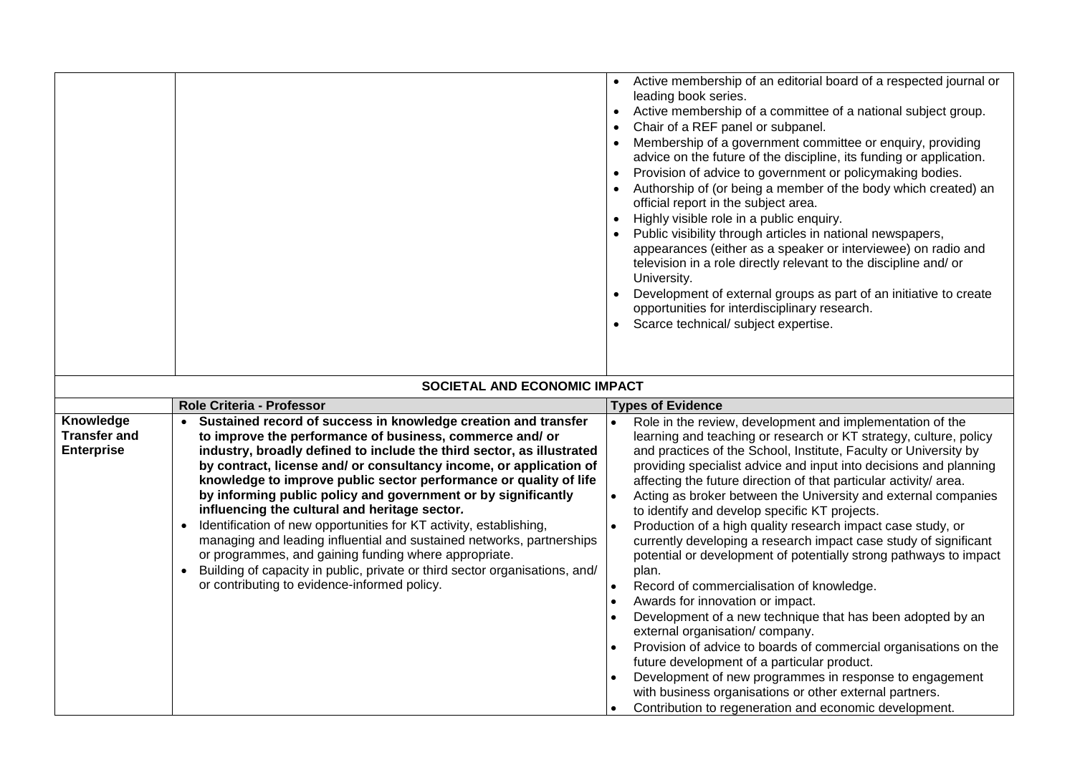|                                          |                                                                                                                                                                                                                                                                                                                                                                                                                                                                                                                                                                                                                                                                                                                                       | Active membership of an editorial board of a respected journal or<br>leading book series.<br>Active membership of a committee of a national subject group.<br>Chair of a REF panel or subpanel.<br>Membership of a government committee or enquiry, providing<br>advice on the future of the discipline, its funding or application.<br>Provision of advice to government or policymaking bodies.<br>Authorship of (or being a member of the body which created) an<br>official report in the subject area.<br>Highly visible role in a public enquiry.<br>Public visibility through articles in national newspapers,<br>appearances (either as a speaker or interviewee) on radio and<br>television in a role directly relevant to the discipline and/ or<br>University.<br>Development of external groups as part of an initiative to create<br>opportunities for interdisciplinary research.<br>Scarce technical/ subject expertise.                                                                                                                                                                 |
|------------------------------------------|---------------------------------------------------------------------------------------------------------------------------------------------------------------------------------------------------------------------------------------------------------------------------------------------------------------------------------------------------------------------------------------------------------------------------------------------------------------------------------------------------------------------------------------------------------------------------------------------------------------------------------------------------------------------------------------------------------------------------------------|---------------------------------------------------------------------------------------------------------------------------------------------------------------------------------------------------------------------------------------------------------------------------------------------------------------------------------------------------------------------------------------------------------------------------------------------------------------------------------------------------------------------------------------------------------------------------------------------------------------------------------------------------------------------------------------------------------------------------------------------------------------------------------------------------------------------------------------------------------------------------------------------------------------------------------------------------------------------------------------------------------------------------------------------------------------------------------------------------------|
|                                          | SOCIETAL AND ECONOMIC IMPACT                                                                                                                                                                                                                                                                                                                                                                                                                                                                                                                                                                                                                                                                                                          |                                                                                                                                                                                                                                                                                                                                                                                                                                                                                                                                                                                                                                                                                                                                                                                                                                                                                                                                                                                                                                                                                                         |
| Knowledge                                | Role Criteria - Professor<br>Sustained record of success in knowledge creation and transfer                                                                                                                                                                                                                                                                                                                                                                                                                                                                                                                                                                                                                                           | <b>Types of Evidence</b><br>Role in the review, development and implementation of the                                                                                                                                                                                                                                                                                                                                                                                                                                                                                                                                                                                                                                                                                                                                                                                                                                                                                                                                                                                                                   |
| <b>Transfer and</b><br><b>Enterprise</b> | to improve the performance of business, commerce and/ or<br>industry, broadly defined to include the third sector, as illustrated<br>by contract, license and/ or consultancy income, or application of<br>knowledge to improve public sector performance or quality of life<br>by informing public policy and government or by significantly<br>influencing the cultural and heritage sector.<br>Identification of new opportunities for KT activity, establishing,<br>managing and leading influential and sustained networks, partnerships<br>or programmes, and gaining funding where appropriate.<br>Building of capacity in public, private or third sector organisations, and/<br>or contributing to evidence-informed policy. | learning and teaching or research or KT strategy, culture, policy<br>and practices of the School, Institute, Faculty or University by<br>providing specialist advice and input into decisions and planning<br>affecting the future direction of that particular activity/ area.<br>Acting as broker between the University and external companies<br>to identify and develop specific KT projects.<br>Production of a high quality research impact case study, or<br>currently developing a research impact case study of significant<br>potential or development of potentially strong pathways to impact<br>plan.<br>Record of commercialisation of knowledge.<br>Awards for innovation or impact.<br>Development of a new technique that has been adopted by an<br>external organisation/company.<br>Provision of advice to boards of commercial organisations on the<br>future development of a particular product.<br>Development of new programmes in response to engagement<br>with business organisations or other external partners.<br>Contribution to regeneration and economic development. |